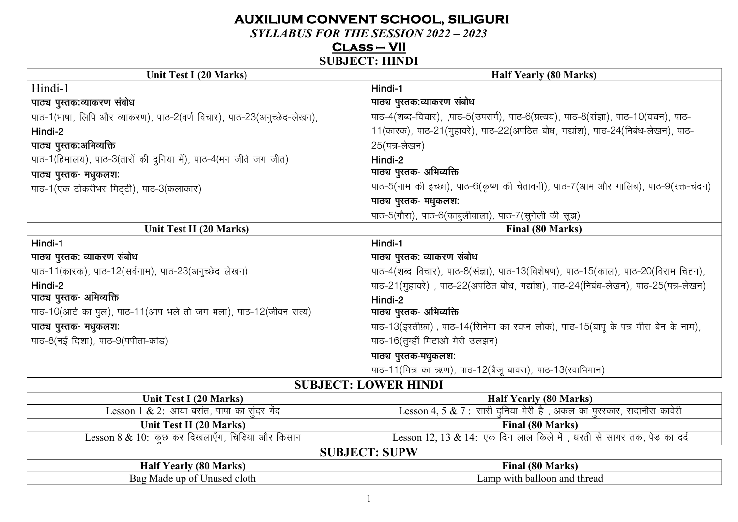# **AUXILIUM CONVENT SCHOOL, SILIGURI**

**SYLLABUS FOR THE SESSION 2022 - 2023** 

 $CLASS-VII$ 

#### **SUBJECT: HINDI**

| Unit Test I (20 Marks)                                                  | <b>Half Yearly (80 Marks)</b>                                                         |  |
|-------------------------------------------------------------------------|---------------------------------------------------------------------------------------|--|
| Hindi-1                                                                 | Hindi-1                                                                               |  |
| पाठ्य पुस्तक:व्याकरण संबोध                                              | पाठ्य पुस्तक:व्याकरण संबोध                                                            |  |
| पाठ-1(भाषा, लिपि और व्याकरण), पाठ-2(वर्ण विचार), पाठ-23(अनुच्छेद-लेखन), | पाठ-4(शब्द-विचार), ,पाठ-5(उपसर्ग), पाठ-6(प्रत्यय), पाठ-8(संज्ञा), पाठ-10(वचन), पाठ-   |  |
| Hindi-2                                                                 | 11(कारक), पाठ-21(मुहावरे), पाठ-22(अपठित बोध, गद्यांश), पाठ-24(निबंध-लेखन), पाठ-       |  |
| पाठ्य पुस्तक:अभिव्यक्ति                                                 | 25(पत्र-लेखन)                                                                         |  |
| पाठ-1(हिमालय), पाठ-3(तारों की दुनिया में), पाठ-4(मन जीते जग जीत)        | Hindi-2                                                                               |  |
| पाठ्य पुस्तक- मधुकलश:                                                   | पाठ्य पुस्तक- अभिव्यक्ति                                                              |  |
| पाठ-1(एक टोकरीभर मिट्टी), पाठ-3(कलाकार)                                 | पाठ-5(नाम की इच्छा), पाठ-6(कृष्ण की चेतावनी), पाठ-7(आम और गालिब), पाठ-9(रक्त-चंदन)    |  |
|                                                                         | पाठ्य पुस्तक- मधुकलश:                                                                 |  |
|                                                                         | पाठ-5(गौरा), पाठ-6(काबुलीवाला), पाठ-7(सुनेली की सूझ)                                  |  |
|                                                                         |                                                                                       |  |
| Unit Test II (20 Marks)                                                 | Final (80 Marks)                                                                      |  |
| Hindi-1                                                                 | Hindi-1                                                                               |  |
| पाठ्य पुस्तक: व्याकरण संबोध                                             | पाठ्य पुस्तक: व्याकरण संबोध                                                           |  |
| पाठ-11(कारक), पाठ-12(सर्वनाम), पाठ-23(अनुच्छेद लेखन)                    | पाठ-4(शब्द विचार), पाठ-8(संज्ञा), पाठ-13(विशेषण), पाठ-15(काल), पाठ-20(विराम चिह्न),   |  |
| Hindi-2                                                                 | पाठ-21(मूहावरे), पाठ-22(अपठित बोध, गद्यांश), पाठ-24(निबंध-लेखन), पाठ-25(पत्र-लेखन)    |  |
| पाठ्य पुस्तक- अभिव्यक्ति                                                | Hindi-2                                                                               |  |
| पाठ-10(आर्ट का पुल), पाठ-11(आप भले तो जग भला), पाठ-12(जीवन सत्य)        | पाठ्य पुस्तक- अभिव्यक्ति                                                              |  |
| पाठ्य पुस्तक- मधुकलश:                                                   | पाठ-13(इस्तीफ़ा), पाठ-14(सिनेमा का स्वप्न लोक), पाठ-15(बापू के पत्र मीरा बेन के नाम), |  |
| पाठ-8(नई दिशा), पाठ-9(पपीता-कांड)                                       | पाठ-16(तुम्हीं मिटाओ मेरी उलझन)                                                       |  |
|                                                                         | पाठ्य पुस्तक-मधुकलश:                                                                  |  |
|                                                                         | पाठ-11(मित्र का ऋण), पाठ-12(बैजू बावरा), पाठ-13(स्वाभिमान)                            |  |

**SUBJECT: LOWER HINDI** 

| Unit Test I (20 Marks)                           | <b>Half Yearly (80 Marks)</b>                                           |  |
|--------------------------------------------------|-------------------------------------------------------------------------|--|
| Lesson 1 & 2: आया बसंत, पापा का संदर गेंद        | Lesson 4, 5 & 7 : सारी दनिया मेरी है, अकल का परस्कार, सदानीरा कावेरी    |  |
| Unit Test II (20 Marks)                          | <b>Final (80 Marks)</b>                                                 |  |
| Lesson 8 & 10: कुछ कर दिखलाएँग, चिड़िया और किसान | Lesson 12, 13 & 14: एक दिन लाल किले में , धरती से सागर तक, पेड़ का दर्द |  |
| <b>SUBJECT: SUPW</b>                             |                                                                         |  |
| Half Vearly (80 Marks)                           | Final (80 Marks)                                                        |  |

#### **THAIL LEALLY LOU MATKS** FINAL LOU MIATKS Bag Made up of Unused cloth Lamp with balloon and thread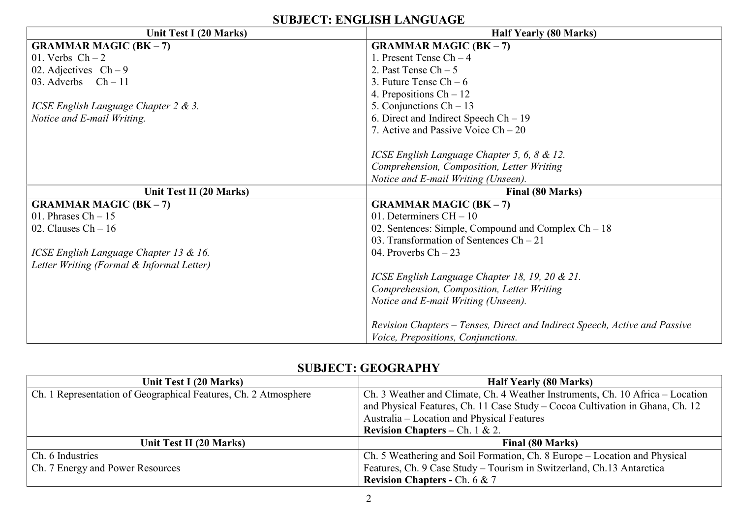| Unit Test I (20 Marks)                    | <b>Half Yearly (80 Marks)</b>                                              |  |
|-------------------------------------------|----------------------------------------------------------------------------|--|
| <b>GRAMMAR MAGIC (BK - 7)</b>             | <b>GRAMMAR MAGIC (BK - 7)</b>                                              |  |
| 01. Verbs $Ch-2$                          | 1. Present Tense $Ch-4$                                                    |  |
| 02. Adjectives $Ch-9$                     | 2. Past Tense $Ch - 5$                                                     |  |
| 03. Adverbs $Ch-11$                       | 3. Future Tense $Ch - 6$                                                   |  |
|                                           | 4. Prepositions $Ch - 12$                                                  |  |
| ICSE English Language Chapter 2 & 3.      | 5. Conjunctions $Ch - 13$                                                  |  |
| Notice and E-mail Writing.                | 6. Direct and Indirect Speech $Ch - 19$                                    |  |
|                                           | 7. Active and Passive Voice $Ch - 20$                                      |  |
|                                           |                                                                            |  |
|                                           | ICSE English Language Chapter 5, 6, 8 & 12.                                |  |
|                                           | Comprehension, Composition, Letter Writing                                 |  |
|                                           | Notice and E-mail Writing (Unseen).                                        |  |
| Unit Test II (20 Marks)                   | Final (80 Marks)                                                           |  |
| <b>GRAMMAR MAGIC (BK - 7)</b>             | <b>GRAMMAR MAGIC (BK - 7)</b>                                              |  |
|                                           |                                                                            |  |
| 01. Phrases $Ch - 15$                     | 01. Determiners $CH - 10$                                                  |  |
| 02. Clauses $Ch - 16$                     | 02. Sentences: Simple, Compound and Complex $Ch - 18$                      |  |
|                                           | 03. Transformation of Sentences $Ch - 21$                                  |  |
| ICSE English Language Chapter 13 & 16.    | 04. Proverbs $Ch - 23$                                                     |  |
| Letter Writing (Formal & Informal Letter) |                                                                            |  |
|                                           | ICSE English Language Chapter 18, 19, 20 & 21.                             |  |
|                                           | Comprehension, Composition, Letter Writing                                 |  |
|                                           | Notice and E-mail Writing (Unseen).                                        |  |
|                                           |                                                                            |  |
|                                           | Revision Chapters – Tenses, Direct and Indirect Speech, Active and Passive |  |

# **SUBJECT: GEOGRAPHY**

| Unit Test I (20 Marks)                                          | <b>Half Yearly (80 Marks)</b>                                                  |  |
|-----------------------------------------------------------------|--------------------------------------------------------------------------------|--|
| Ch. 1 Representation of Geographical Features, Ch. 2 Atmosphere | Ch. 3 Weather and Climate, Ch. 4 Weather Instruments, Ch. 10 Africa – Location |  |
|                                                                 | and Physical Features, Ch. 11 Case Study - Cocoa Cultivation in Ghana, Ch. 12  |  |
|                                                                 | Australia – Location and Physical Features                                     |  |
|                                                                 | <b>Revision Chapters – Ch.</b> 1 & 2.                                          |  |
| Unit Test II (20 Marks)                                         | <b>Final (80 Marks)</b>                                                        |  |
| Ch. 6 Industries                                                | Ch. 5 Weathering and Soil Formation, Ch. 8 Europe – Location and Physical      |  |
| Ch. 7 Energy and Power Resources                                | Features, Ch. 9 Case Study - Tourism in Switzerland, Ch.13 Antarctica          |  |
|                                                                 | <b>Revision Chapters - Ch. 6 &amp; 7</b>                                       |  |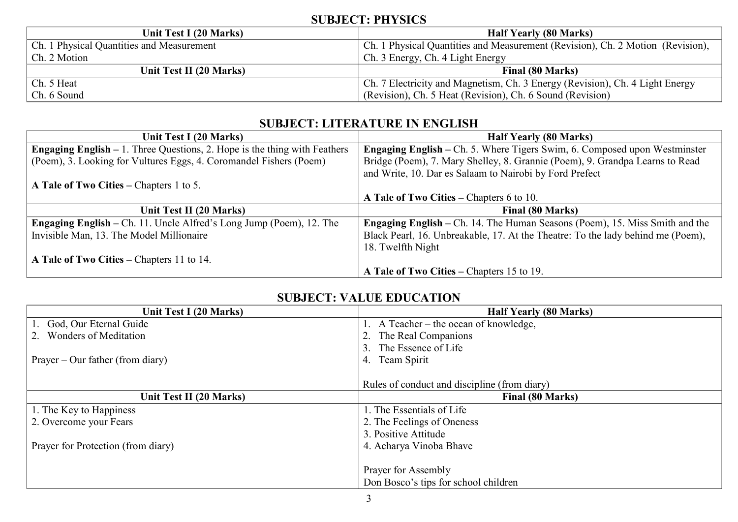## **SUBJECT: PHYSICS**

| Unit Test I (20 Marks)                    | <b>Half Yearly (80 Marks)</b>                                                  |  |
|-------------------------------------------|--------------------------------------------------------------------------------|--|
| Ch. 1 Physical Quantities and Measurement | Ch. 1 Physical Quantities and Measurement (Revision), Ch. 2 Motion (Revision), |  |
| Ch. 2 Motion                              | Ch. 3 Energy, Ch. 4 Light Energy                                               |  |
| Unit Test II (20 Marks)                   | Final (80 Marks)                                                               |  |
| Ch. 5 Heat                                | Ch. 7 Electricity and Magnetism, Ch. 3 Energy (Revision), Ch. 4 Light Energy   |  |
| Ch. 6 Sound                               | (Revision), Ch. 5 Heat (Revision), Ch. 6 Sound (Revision)                      |  |

## **SUBJECT: LITERATURE IN ENGLISH**

| Unit Test I (20 Marks)                                                             | <b>Half Yearly (80 Marks)</b>                                                      |
|------------------------------------------------------------------------------------|------------------------------------------------------------------------------------|
| <b>Engaging English</b> $-1$ . Three Questions, 2. Hope is the thing with Feathers | <b>Engaging English – Ch. 5. Where Tigers Swim, 6. Composed upon Westminster</b>   |
| (Poem), 3. Looking for Vultures Eggs, 4. Coromandel Fishers (Poem)                 | Bridge (Poem), 7. Mary Shelley, 8. Grannie (Poem), 9. Grandpa Learns to Read       |
|                                                                                    | and Write, 10. Dar es Salaam to Nairobi by Ford Prefect                            |
| A Tale of Two Cities – Chapters 1 to 5.                                            |                                                                                    |
|                                                                                    | A Tale of Two Cities – Chapters 6 to 10.                                           |
| Unit Test II (20 Marks)                                                            | <b>Final (80 Marks)</b>                                                            |
| <b>Engaging English</b> – Ch. 11. Uncle Alfred's Long Jump (Poem), 12. The         | <b>Engaging English</b> – Ch. 14. The Human Seasons (Poem), 15. Miss Smith and the |
| Invisible Man, 13. The Model Millionaire                                           | Black Pearl, 16. Unbreakable, 17. At the Theatre: To the lady behind me (Poem),    |
|                                                                                    | 18. Twelfth Night                                                                  |
| A Tale of Two Cities – Chapters 11 to 14.                                          |                                                                                    |
|                                                                                    | A Tale of Two Cities – Chapters 15 to 19.                                          |

# **SUBJECT: VALUE EDUCATION**

| Unit Test I (20 Marks)             | <b>Half Yearly (80 Marks)</b>                |
|------------------------------------|----------------------------------------------|
| God, Our Eternal Guide             | 1. A Teacher – the ocean of knowledge,       |
| <b>Wonders of Meditation</b>       | The Real Companions                          |
|                                    | The Essence of Life                          |
| $Prayer - Our father (from diary)$ | Team Spirit<br>4.                            |
|                                    |                                              |
|                                    | Rules of conduct and discipline (from diary) |
| Unit Test II (20 Marks)            | <b>Final (80 Marks)</b>                      |
| 1. The Key to Happiness            | . The Essentials of Life                     |
| 2. Overcome your Fears             | 2. The Feelings of Oneness                   |
|                                    | 3. Positive Attitude                         |
| Prayer for Protection (from diary) | 4. Acharya Vinoba Bhave                      |
|                                    |                                              |
|                                    | Prayer for Assembly                          |
|                                    | Don Bosco's tips for school children         |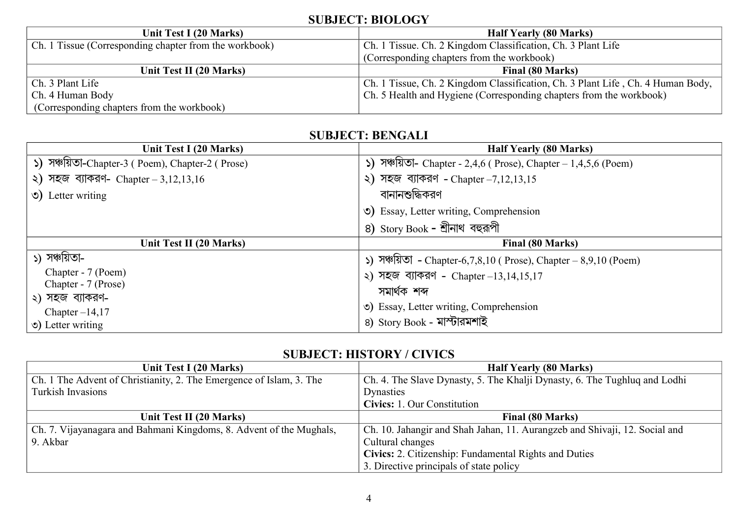## **SUBJECT: BIOLOGY**

| Unit Test I (20 Marks)                                 | <b>Half Yearly (80 Marks)</b>                                                   |
|--------------------------------------------------------|---------------------------------------------------------------------------------|
| Ch. 1 Tissue (Corresponding chapter from the workbook) | Ch. 1 Tissue. Ch. 2 Kingdom Classification, Ch. 3 Plant Life                    |
|                                                        | (Corresponding chapters from the workbook)                                      |
| Unit Test II (20 Marks)                                | Final (80 Marks)                                                                |
| Ch. 3 Plant Life                                       | Ch. 1 Tissue, Ch. 2 Kingdom Classification, Ch. 3 Plant Life, Ch. 4 Human Body, |
| Ch. 4 Human Body                                       | Ch. 5 Health and Hygiene (Corresponding chapters from the workbook)             |
| (Corresponding chapters from the workbook)             |                                                                                 |

## **SUBJECT: BENGALI**

| Unit Test I (20 Marks)                             | <b>Half Yearly (80 Marks)</b>                                               |  |
|----------------------------------------------------|-----------------------------------------------------------------------------|--|
| ১) সঞ্চায়তা-Chapter-3 ( Poem), Chapter-2 ( Prose) | $\binom{5}{5}$ সঞ্চায়তা- Chapter - 2,4,6 (Prose), Chapter – 1,4,5,6 (Poem) |  |
| ২) সহজ ব্যাকরণ- Chapter – $3,12,13,16$             | ২) সহজ ব্যাকরণ - Chapter $-7,12,13,15$                                      |  |
| $\circ$ ) Letter writing                           | বানানশুদ্ধিকরণ                                                              |  |
|                                                    | O) Essay, Letter writing, Comprehension                                     |  |
|                                                    | ৪) Story Book - শ্রীনাথ বহুরূপী                                             |  |
| Unit Test II (20 Marks)                            | Final (80 Marks)                                                            |  |
|                                                    |                                                                             |  |
| ১) সঞ্চয়িতা-                                      | ১) সঞ্চায়তা - Chapter-6,7,8,10 ( Prose), Chapter – 8,9,10 (Poem)           |  |
| Chapter - 7 (Poem)                                 | ২) সহজ ব্যাকরণ - Chapter $-13, 14, 15, 17$                                  |  |
| Chapter - 7 (Prose)                                | সমাৰ্থক শব্দ                                                                |  |
| ২) সহজ ব্যাকরণ-                                    |                                                                             |  |
| Chapter $-14,17$<br>$\circ$ ) Letter writing       | (c) Essay, Letter writing, Comprehension<br>8) Story Book - মাম্টারমশাই     |  |

## **SUBJECT: HISTORY / CIVICS**

| Unit Test I (20 Marks)                                              | <b>Half Yearly (80 Marks)</b>                                              |  |
|---------------------------------------------------------------------|----------------------------------------------------------------------------|--|
| Ch. 1 The Advent of Christianity, 2. The Emergence of Islam, 3. The | Ch. 4. The Slave Dynasty, 5. The Khalji Dynasty, 6. The Tughluq and Lodhi  |  |
| Turkish Invasions                                                   | Dynasties                                                                  |  |
|                                                                     | Civics: 1. Our Constitution                                                |  |
| Unit Test II (20 Marks)                                             | Final (80 Marks)                                                           |  |
| Ch. 7. Vijayanagara and Bahmani Kingdoms, 8. Advent of the Mughals, | Ch. 10. Jahangir and Shah Jahan, 11. Aurangzeb and Shivaji, 12. Social and |  |
| 9. Akbar                                                            | Cultural changes                                                           |  |
|                                                                     | Civics: 2. Citizenship: Fundamental Rights and Duties                      |  |
|                                                                     | 3. Directive principals of state policy                                    |  |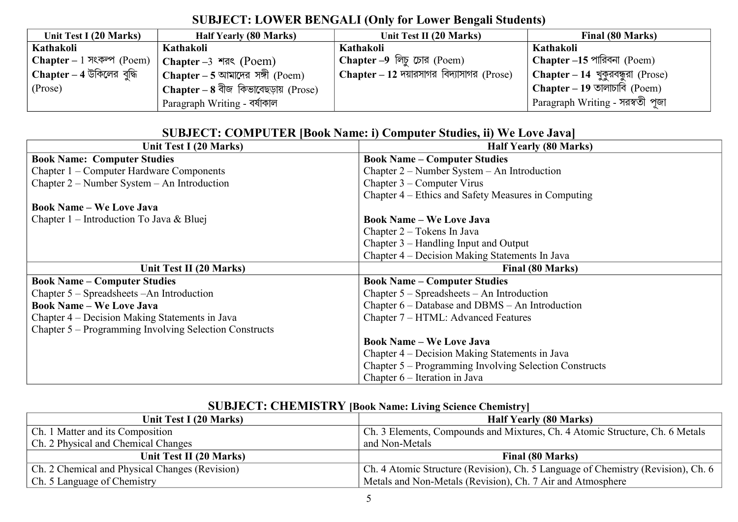# **SUBJECT: LOWER BENGALI (Only for Lower Bengali Students)**

| Unit Test I (20 Marks)    | <b>Half Yearly (80 Marks)</b>          | Unit Test II (20 Marks)                           | Final (80 Marks)                    |
|---------------------------|----------------------------------------|---------------------------------------------------|-------------------------------------|
| Kathakoli                 | Kathakoli                              | Kathakoli                                         | Kathakoli                           |
| Chapter – 1 সংকল্প (Poem) | Chapter $-3$ $\sqrt{3}$ (Poem)         | Chapter –9 লিচু চোর (Poem)                        | Chapter –15 পারিবনা (Poem)          |
| Chapter - 4 উকিলের বুদ্ধি | Chapter – 5 আমাদের সঙ্গী (Poem)        | $\perp$ Chapter – 12 দয়ারসাগর বিদ্যাসাগর (Prose) | l Chapter – 14 খুকুরবন্ধুরা (Prose) |
| (Prose)                   | Chapter – $8$ বীজ কিভাবেছড়ায় (Prose) |                                                   | <b>Chapter</b> – 19 তালাচাবি (Poem) |
|                           | Paragraph Writing - বর্ষাকাল           |                                                   | Paragraph Writing - সরস্বতী পূজা    |

#### **SUBJECT: COMPUTER [Book Name: i) Computer Studies, ii) We Love Java]**

| Unit Test I (20 Marks)                                 | <b>Half Yearly (80 Marks)</b>                          |
|--------------------------------------------------------|--------------------------------------------------------|
| <b>Book Name: Computer Studies</b>                     | <b>Book Name – Computer Studies</b>                    |
| Chapter 1 – Computer Hardware Components               | Chapter 2 – Number System – An Introduction            |
| Chapter $2$ – Number System – An Introduction          | Chapter $3$ – Computer Virus                           |
|                                                        | Chapter 4 – Ethics and Safety Measures in Computing    |
| <b>Book Name – We Love Java</b>                        |                                                        |
| Chapter 1 – Introduction To Java & Bluej               | <b>Book Name – We Love Java</b>                        |
|                                                        | Chapter 2 – Tokens In Java                             |
|                                                        | Chapter $3$ – Handling Input and Output                |
|                                                        | Chapter 4 – Decision Making Statements In Java         |
| Unit Test II (20 Marks)                                | Final (80 Marks)                                       |
| <b>Book Name - Computer Studies</b>                    | <b>Book Name – Computer Studies</b>                    |
| Chapter 5 – Spreadsheets – An Introduction             | Chapter $5 -$ Spreadsheets $-$ An Introduction         |
| <b>Book Name - We Love Java</b>                        | Chapter $6$ – Database and DBMS – An Introduction      |
| Chapter 4 – Decision Making Statements in Java         | Chapter 7 – HTML: Advanced Features                    |
| Chapter 5 – Programming Involving Selection Constructs |                                                        |
|                                                        | <b>Book Name - We Love Java</b>                        |
|                                                        | Chapter 4 – Decision Making Statements in Java         |
|                                                        | Chapter 5 – Programming Involving Selection Constructs |
|                                                        | Chapter 6 – Iteration in Java                          |

# **SUBJECT: CHEMISTRY [Book Name: Living Science Chemistry]**

| Unit Test I (20 Marks)                         | <b>Half Yearly (80 Marks)</b>                                                    |
|------------------------------------------------|----------------------------------------------------------------------------------|
| Ch. 1 Matter and its Composition               | Ch. 3 Elements, Compounds and Mixtures, Ch. 4 Atomic Structure, Ch. 6 Metals     |
| Ch. 2 Physical and Chemical Changes            | and Non-Metals                                                                   |
| Unit Test II (20 Marks)                        | Final (80 Marks)                                                                 |
| Ch. 2 Chemical and Physical Changes (Revision) | Ch. 4 Atomic Structure (Revision), Ch. 5 Language of Chemistry (Revision), Ch. 6 |
| Ch. 5 Language of Chemistry                    | Metals and Non-Metals (Revision), Ch. 7 Air and Atmosphere                       |